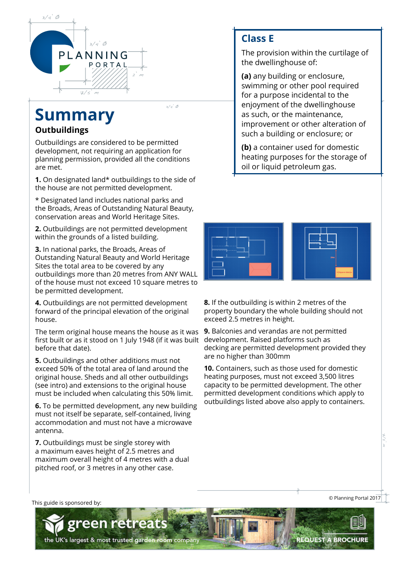

# **Summary**

#### **Outbuildings**

Outbuildings are considered to be permitted development, not requiring an application for planning permission, provided all the conditions are met.

 $3/4^{\prime}$  Ø

**1.** On designated land\* outbuildings to the side of the house are not permitted development.

\* Designated land includes national parks and the Broads, Areas of Outstanding Natural Beauty, conservation areas and World Heritage Sites.

**2.** Outbuildings are not permitted development within the grounds of a listed building.

**3.** In national parks, the Broads, Areas of Outstanding Natural Beauty and World Heritage Sites the total area to be covered by any outbuildings more than 20 metres from ANY WALL of the house must not exceed 10 square metres to be permitted development.

**4.** Outbuildings are not permitted development forward of the principal elevation of the original house.

The term original house means the house as it was **9.** Balconies and verandas are not permitted first built or as it stood on 1 July 1948 (if it was built before that date).

**5.** Outbuildings and other additions must not exceed 50% of the total area of land around the original house. Sheds and all other outbuildings (see intro) and extensions to the original house must be included when calculating this 50% limit.

**6.** To be permitted development, any new building must not itself be separate, self-contained, living accommodation and must not have a microwave antenna.

**7.** Outbuildings must be single storey with a maximum eaves height of 2.5 metres and maximum overall height of 4 metres with a dual pitched roof, or 3 metres in any other case.

reti

the UK's largest & most trusted garden room company

# **Class E**

The provision within the curtilage of the dwellinghouse of:

**(a)** any building or enclosure, swimming or other pool required for a purpose incidental to the enjoyment of the dwellinghouse as such, or the maintenance, improvement or other alteration of such a building or enclosure; or

**(b)** a container used for domestic heating purposes for the storage of oil or liquid petroleum gas.



**8.** If the outbuilding is within 2 metres of the property boundary the whole building should not exceed 2.5 metres in height.

development. Raised platforms such as decking are permitted development provided they are no higher than 300mm

**10.** Containers, such as those used for domestic heating purposes, must not exceed 3,500 litres capacity to be permitted development. The other permitted development conditions which apply to outbuildings listed above also apply to containers.

[This guide is sponsored by:](https://www.greenretreats.co.uk/outbuildings-planning-portal/)

© Planning Portal 2017

**REQUEST A BROCHURE**